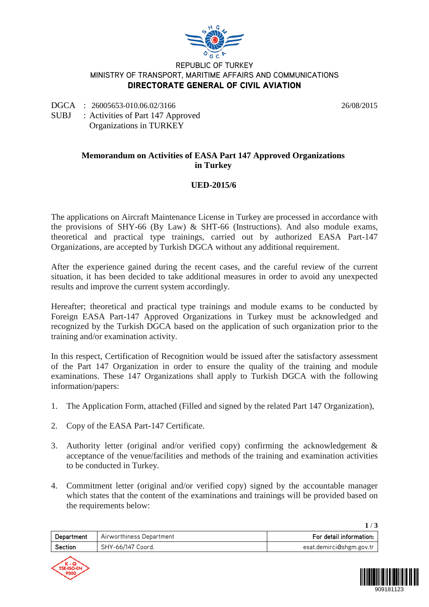

#### REPUBLIC OF TURKEY MINISTRY OF TRANSPORT, MARITIME AFFAIRS AND COMMUNICATIONS DIRECTORATE GENERAL OF CIVIL AVIATION

DGCA : 26005653-010.06.02/3166 26/08/2015

SUBJ : Activities of Part 147 Approved Organizations in TURKEY

### **Memorandum on Activities of EASA Part 147 Approved Organizations in Turkey**

# **UED-2015/6**

The applications on Aircraft Maintenance License in Turkey are processed in accordance with the provisions of SHY-66 (By Law) & SHT-66 (Instructions). And also module exams, theoretical and practical type trainings, carried out by authorized EASA Part-147 Organizations, are accepted by Turkish DGCA without any additional requirement.

After the experience gained during the recent cases, and the careful review of the current situation, it has been decided to take additional measures in order to avoid any unexpected results and improve the current system accordingly.

Hereafter; theoretical and practical type trainings and module exams to be conducted by Foreign EASA Part-147 Approved Organizations in Turkey must be acknowledged and recognized by the Turkish DGCA based on the application of such organization prior to the training and/or examination activity.

In this respect, Certification of Recognition would be issued after the satisfactory assessment of the Part 147 Organization in order to ensure the quality of the training and module examinations. These 147 Organizations shall apply to Turkish DGCA with the following information/papers:

- 1. The Application Form, attached (Filled and signed by the related Part 147 Organization),
- 2. Copy of the EASA Part-147 Certificate.
- 3. Authority letter (original and/or verified copy) confirming the acknowledgement & acceptance of the venue/facilities and methods of the training and examination activities to be conducted in Turkey.
- 4. Commitment letter (original and/or verified copy) signed by the accountable manager which states that the content of the examinations and trainings will be provided based on the requirements below:

| Department | Airworthiness Department | For detail information:  |
|------------|--------------------------|--------------------------|
| Section    | SHY-66/147 Coord.        | esat.demirci@shgm.gov.tr |



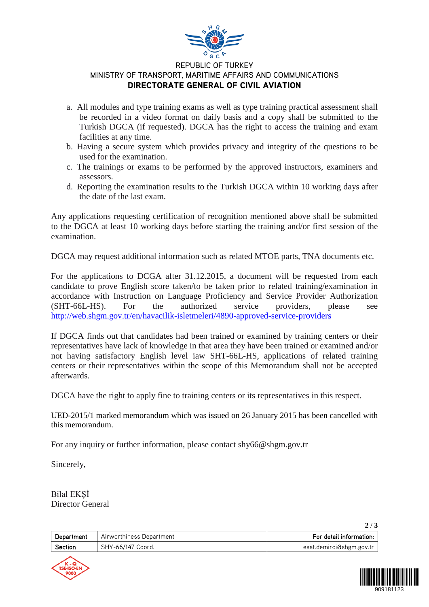

### REPUBLIC OF TURKEY MINISTRY OF TRANSPORT, MARITIME AFFAIRS AND COMMUNICATIONS DIRECTORATE GENERAL OF CIVIL AVIATION

- a. All modules and type training exams as well as type training practical assessment shall be recorded in a video format on daily basis and a copy shall be submitted to the Turkish DGCA (if requested). DGCA has the right to access the training and exam facilities at any time.
- b. Having a secure system which provides privacy and integrity of the questions to be used for the examination.
- c. The trainings or exams to be performed by the approved instructors, examiners and assessors.
- d. Reporting the examination results to the Turkish DGCA within 10 working days after the date of the last exam.

Any applications requesting certification of recognition mentioned above shall be submitted to the DGCA at least 10 working days before starting the training and/or first session of the examination.

DGCA may request additional information such as related MTOE parts, TNA documents etc.

For the applications to DCGA after 31.12.2015, a document will be requested from each candidate to prove English score taken/to be taken prior to related training/examination in accordance with Instruction on Language Proficiency and Service Provider Authorization (SHT-66L-HS). For the authorized service providers, please see <http://web.shgm.gov.tr/en/havacilik-isletmeleri/4890-approved-service-providers>

If DGCA finds out that candidates had been trained or examined by training centers or their representatives have lack of knowledge in that area they have been trained or examined and/or not having satisfactory English level iaw SHT-66L-HS, applications of related training centers or their representatives within the scope of this Memorandum shall not be accepted afterwards.

DGCA have the right to apply fine to training centers or its representatives in this respect.

UED-2015/1 marked memorandum which was issued on 26 January 2015 has been cancelled with this memorandum.

For any inquiry or further information, please contact shy66@shgm.gov.tr

Sincerely,

Bilal EKŞİ Director General

**2** / **3**

| Department     | Airworthiness Department | For detail information:  |
|----------------|--------------------------|--------------------------|
| <b>Section</b> | SHY-66/147 Coord.        | esat.demirci@shgm.gov.tr |